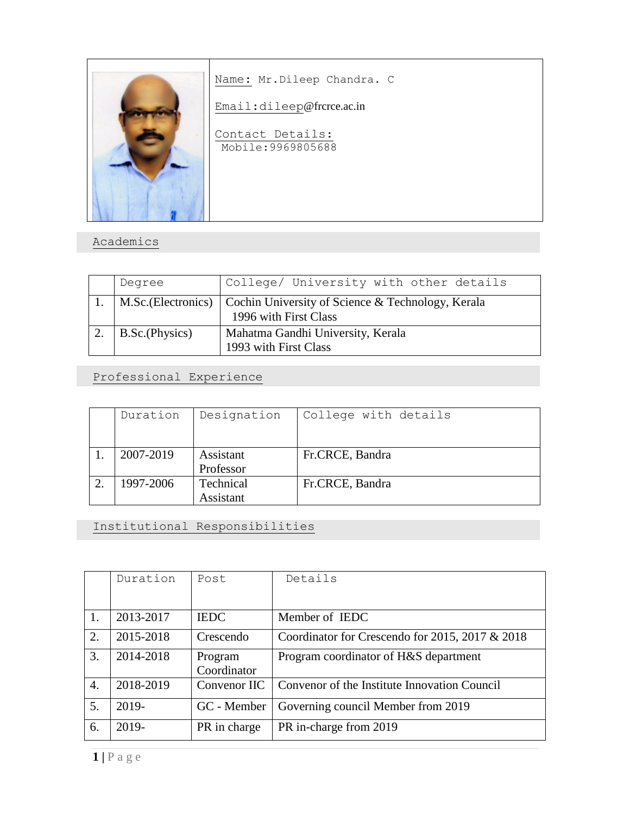

Name: Mr.Dileep Chandra. C

Email:dileep@frcrce.ac.in

Contact Details: Mobile:9969805688

## Academics

| Degree         | College/ University with other details                                                         |
|----------------|------------------------------------------------------------------------------------------------|
|                | M.Sc. (Electronics) Cochin University of Science & Technology, Kerala<br>1996 with First Class |
| B.Sc.(Physics) | Mahatma Gandhi University, Kerala<br>1993 with First Class                                     |

Professional Experience

| Duration  | Designation | College with details |
|-----------|-------------|----------------------|
|           |             |                      |
| 2007-2019 | Assistant   | Fr.CRCE, Bandra      |
|           | Professor   |                      |
| 1997-2006 | Technical   | Fr.CRCE, Bandra      |
|           | Assistant   |                      |

Institutional Responsibilities

|    | Duration  | Post         | Details                                         |
|----|-----------|--------------|-------------------------------------------------|
| 1. | 2013-2017 | <b>IEDC</b>  | Member of IEDC                                  |
| 2. | 2015-2018 | Crescendo    | Coordinator for Crescendo for 2015, 2017 & 2018 |
| 3. | 2014-2018 | Program      | Program coordinator of H&S department           |
|    |           | Coordinator  |                                                 |
| 4. | 2018-2019 | Convenor IIC | Convenor of the Institute Innovation Council    |
| 5. | 2019-     | GC - Member  | Governing council Member from 2019              |
| 6. | 2019-     | PR in charge | PR in-charge from 2019                          |